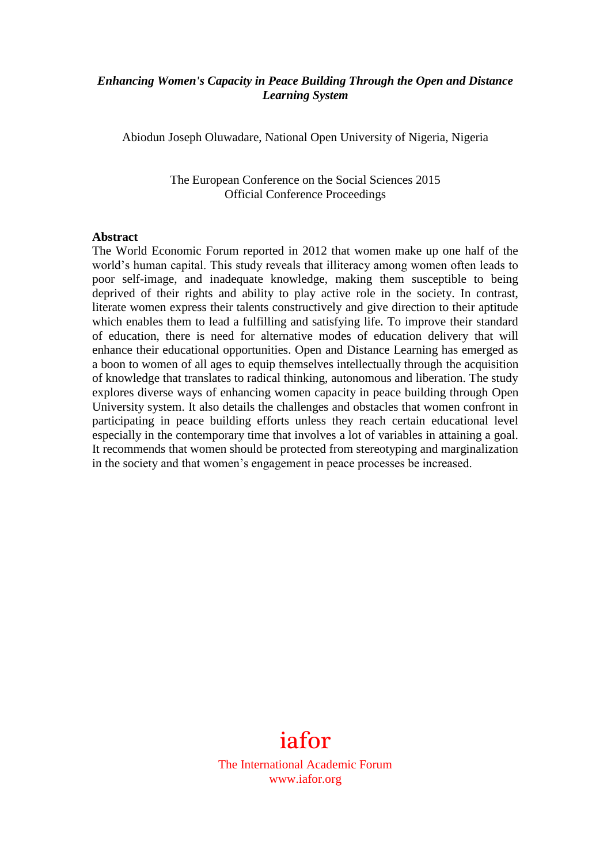## *Enhancing Women's Capacity in Peace Building Through the Open and Distance Learning System*

Abiodun Joseph Oluwadare, National Open University of Nigeria, Nigeria

The European Conference on the Social Sciences 2015 Official Conference Proceedings

#### **Abstract**

The World Economic Forum reported in 2012 that women make up one half of the world's human capital. This study reveals that illiteracy among women often leads to poor self-image, and inadequate knowledge, making them susceptible to being deprived of their rights and ability to play active role in the society. In contrast, literate women express their talents constructively and give direction to their aptitude which enables them to lead a fulfilling and satisfying life. To improve their standard of education, there is need for alternative modes of education delivery that will enhance their educational opportunities. Open and Distance Learning has emerged as a boon to women of all ages to equip themselves intellectually through the acquisition of knowledge that translates to radical thinking, autonomous and liberation. The study explores diverse ways of enhancing women capacity in peace building through Open University system. It also details the challenges and obstacles that women confront in participating in peace building efforts unless they reach certain educational level especially in the contemporary time that involves a lot of variables in attaining a goal. It recommends that women should be protected from stereotyping and marginalization in the society and that women's engagement in peace processes be increased.



The International Academic Forum www.iafor.org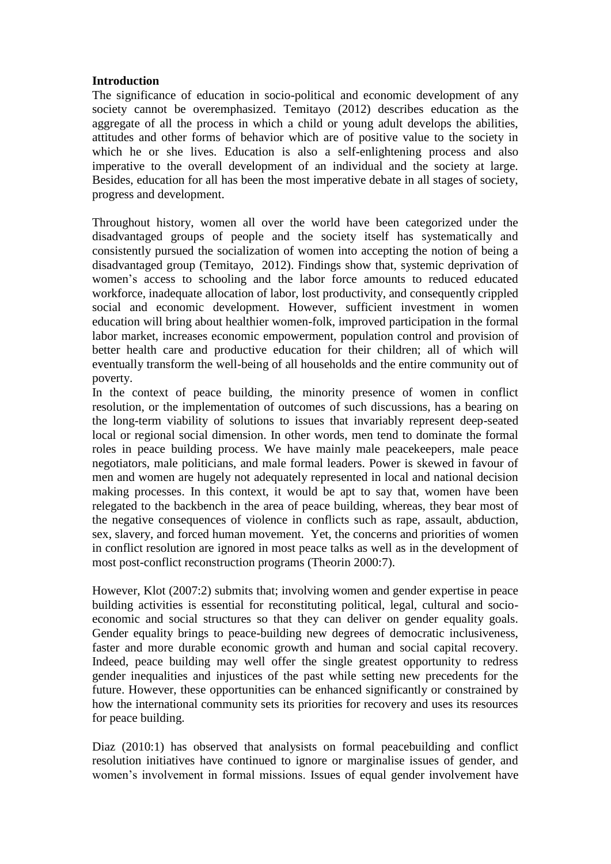### **Introduction**

The significance of education in socio-political and economic development of any society cannot be overemphasized. Temitayo (2012) describes education as the aggregate of all the process in which a child or young adult develops the abilities, attitudes and other forms of behavior which are of positive value to the society in which he or she lives. Education is also a self-enlightening process and also imperative to the overall development of an individual and the society at large. Besides, education for all has been the most imperative debate in all stages of society, progress and development.

Throughout history, women all over the world have been categorized under the disadvantaged groups of people and the society itself has systematically and consistently pursued the socialization of women into accepting the notion of being a disadvantaged group (Temitayo, 2012). Findings show that, systemic deprivation of women's access to schooling and the labor force amounts to reduced educated workforce, inadequate allocation of labor, lost productivity, and consequently crippled social and economic development. However, sufficient investment in women education will bring about healthier women-folk, improved participation in the formal labor market, increases economic empowerment, population control and provision of better health care and productive education for their children; all of which will eventually transform the well-being of all households and the entire community out of poverty.

In the context of peace building, the minority presence of women in conflict resolution, or the implementation of outcomes of such discussions, has a bearing on the long-term viability of solutions to issues that invariably represent deep-seated local or regional social dimension. In other words, men tend to dominate the formal roles in peace building process. We have mainly male peacekeepers, male peace negotiators, male politicians, and male formal leaders. Power is skewed in favour of men and women are hugely not adequately represented in local and national decision making processes. In this context, it would be apt to say that, women have been relegated to the backbench in the area of peace building, whereas, they bear most of the negative consequences of violence in conflicts such as rape, assault, abduction, sex, slavery, and forced human movement. Yet, the concerns and priorities of women in conflict resolution are ignored in most peace talks as well as in the development of most post-conflict reconstruction programs (Theorin 2000:7).

However, Klot (2007:2) submits that; involving women and gender expertise in peace building activities is essential for reconstituting political, legal, cultural and socioeconomic and social structures so that they can deliver on gender equality goals. Gender equality brings to peace-building new degrees of democratic inclusiveness, faster and more durable economic growth and human and social capital recovery. Indeed, peace building may well offer the single greatest opportunity to redress gender inequalities and injustices of the past while setting new precedents for the future. However, these opportunities can be enhanced significantly or constrained by how the international community sets its priorities for recovery and uses its resources for peace building.

Diaz (2010:1) has observed that analysists on formal peacebuilding and conflict resolution initiatives have continued to ignore or marginalise issues of gender, and women's involvement in formal missions. Issues of equal gender involvement have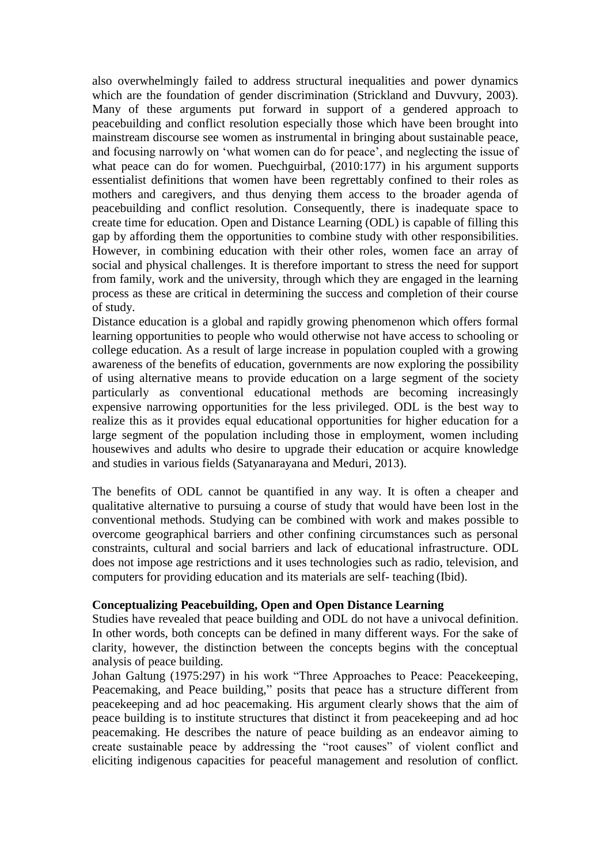also overwhelmingly failed to address structural inequalities and power dynamics which are the foundation of gender discrimination (Strickland and Duvvury, 2003). Many of these arguments put forward in support of a gendered approach to peacebuilding and conflict resolution especially those which have been brought into mainstream discourse see women as instrumental in bringing about sustainable peace, and focusing narrowly on 'what women can do for peace', and neglecting the issue of what peace can do for women. Puechguirbal,  $(2010:177)$  in his argument supports essentialist definitions that women have been regrettably confined to their roles as mothers and caregivers, and thus denying them access to the broader agenda of peacebuilding and conflict resolution. Consequently, there is inadequate space to create time for education. Open and Distance Learning (ODL) is capable of filling this gap by affording them the opportunities to combine study with other responsibilities. However, in combining education with their other roles, women face an array of social and physical challenges. It is therefore important to stress the need for support from family, work and the university, through which they are engaged in the learning process as these are critical in determining the success and completion of their course of study.

Distance education is a global and rapidly growing phenomenon which offers formal learning opportunities to people who would otherwise not have access to schooling or college education. As a result of large increase in population coupled with a growing awareness of the benefits of education, governments are now exploring the possibility of using alternative means to provide education on a large segment of the society particularly as conventional educational methods are becoming increasingly expensive narrowing opportunities for the less privileged. ODL is the best way to realize this as it provides equal educational opportunities for higher education for a large segment of the population including those in employment, women including housewives and adults who desire to upgrade their education or acquire knowledge and studies in various fields (Satyanarayana and Meduri, 2013).

The benefits of ODL cannot be quantified in any way. It is often a cheaper and qualitative alternative to pursuing a course of study that would have been lost in the conventional methods. Studying can be combined with work and makes possible to overcome geographical barriers and other confining circumstances such as personal constraints, cultural and social barriers and lack of educational infrastructure. ODL does not impose age restrictions and it uses technologies such as radio, television, and computers for providing education and its materials are self- teaching (Ibid).

### **Conceptualizing Peacebuilding, Open and Open Distance Learning**

Studies have revealed that peace building and ODL do not have a univocal definition. In other words, both concepts can be defined in many different ways. For the sake of clarity, however, the distinction between the concepts begins with the conceptual analysis of peace building.

Johan Galtung (1975:297) in his work "Three Approaches to Peace: Peacekeeping, Peacemaking, and Peace building," posits that peace has a structure different from peacekeeping and ad hoc peacemaking. His argument clearly shows that the aim of peace building is to institute structures that distinct it from peacekeeping and ad hoc peacemaking. He describes the nature of peace building as an endeavor aiming to create sustainable peace by addressing the "root causes" of violent conflict and eliciting indigenous capacities for peaceful management and resolution of conflict.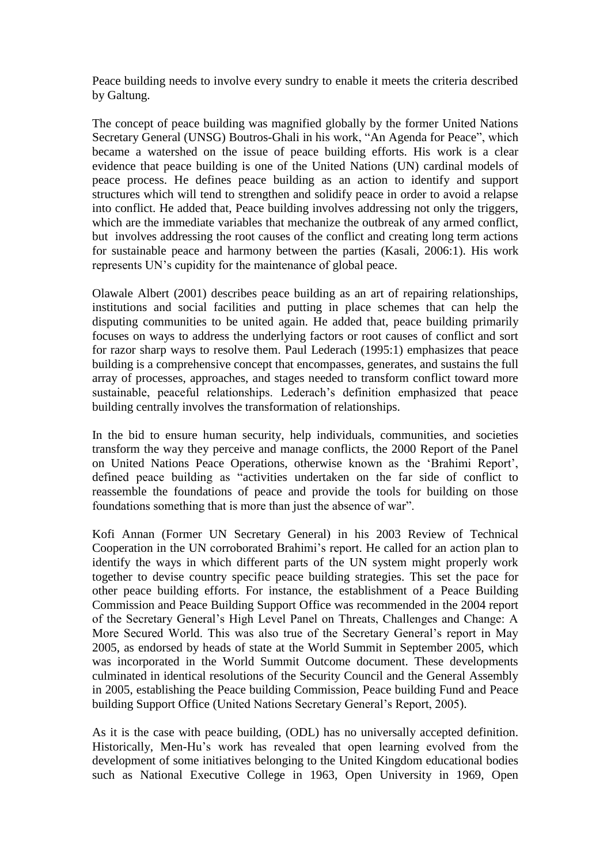Peace building needs to involve every sundry to enable it meets the criteria described by Galtung.

The concept of peace building was magnified globally by the former United Nations Secretary General (UNSG) Boutros-Ghali in his work, "An Agenda for Peace", which became a watershed on the issue of peace building efforts. His work is a clear evidence that peace building is one of the United Nations (UN) cardinal models of peace process. He defines peace building as an action to identify and support structures which will tend to strengthen and solidify peace in order to avoid a relapse into conflict. He added that, Peace building involves addressing not only the triggers, which are the immediate variables that mechanize the outbreak of any armed conflict, but involves addressing the root causes of the conflict and creating long term actions for sustainable peace and harmony between the parties (Kasali, 2006:1). His work represents UN's cupidity for the maintenance of global peace.

Olawale Albert (2001) describes peace building as an art of repairing relationships, institutions and social facilities and putting in place schemes that can help the disputing communities to be united again. He added that, peace building primarily focuses on ways to address the underlying factors or root causes of conflict and sort for razor sharp ways to resolve them. Paul Lederach (1995:1) emphasizes that peace building is a comprehensive concept that encompasses, generates, and sustains the full array of processes, approaches, and stages needed to transform conflict toward more sustainable, peaceful relationships. Lederach's definition emphasized that peace building centrally involves the transformation of relationships.

In the bid to ensure human security, help individuals, communities, and societies transform the way they perceive and manage conflicts, the 2000 Report of the Panel on United Nations Peace Operations, otherwise known as the 'Brahimi Report', defined peace building as "activities undertaken on the far side of conflict to reassemble the foundations of peace and provide the tools for building on those foundations something that is more than just the absence of war".

Kofi Annan (Former UN Secretary General) in his 2003 Review of Technical Cooperation in the UN corroborated Brahimi's report. He called for an action plan to identify the ways in which different parts of the UN system might properly work together to devise country specific peace building strategies. This set the pace for other peace building efforts. For instance, the establishment of a Peace Building Commission and Peace Building Support Office was recommended in the 2004 report of the Secretary General's High Level Panel on Threats, Challenges and Change: A More Secured World. This was also true of the Secretary General's report in May 2005, as endorsed by heads of state at the World Summit in September 2005, which was incorporated in the World Summit Outcome document. These developments culminated in identical resolutions of the Security Council and the General Assembly in 2005, establishing the Peace building Commission, Peace building Fund and Peace building Support Office (United Nations Secretary General's Report, 2005).

As it is the case with peace building, (ODL) has no universally accepted definition. Historically, Men-Hu's work has revealed that open learning evolved from the development of some initiatives belonging to the United Kingdom educational bodies such as National Executive College in 1963, Open University in 1969, Open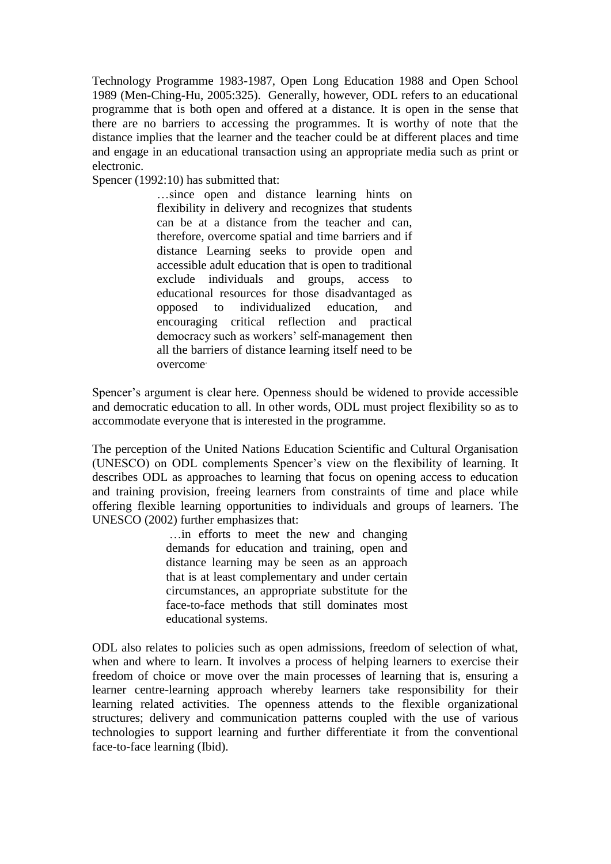Technology Programme 1983-1987, Open Long Education 1988 and Open School 1989 (Men-Ching-Hu, 2005:325). Generally, however, ODL refers to an educational programme that is both open and offered at a distance. It is open in the sense that there are no barriers to accessing the programmes. It is worthy of note that the distance implies that the learner and the teacher could be at different places and time and engage in an educational transaction using an appropriate media such as print or electronic.

Spencer (1992:10) has submitted that:

…since open and distance learning hints on flexibility in delivery and recognizes that students can be at a distance from the teacher and can, therefore, overcome spatial and time barriers and if distance Learning seeks to provide open and accessible adult education that is open to traditional exclude individuals and groups, access to educational resources for those disadvantaged as opposed to individualized education, and encouraging critical reflection and practical democracy such as workers' self-management then all the barriers of distance learning itself need to be overcome.

Spencer's argument is clear here. Openness should be widened to provide accessible and democratic education to all. In other words, ODL must project flexibility so as to accommodate everyone that is interested in the programme.

The perception of the United Nations Education Scientific and Cultural Organisation (UNESCO) on ODL complements Spencer's view on the flexibility of learning. It describes ODL as approaches to learning that focus on opening access to education and training provision, freeing learners from constraints of time and place while offering flexible learning opportunities to individuals and groups of learners. The UNESCO (2002) further emphasizes that:

> …in efforts to meet the new and changing demands for education and training, open and distance learning may be seen as an approach that is at least complementary and under certain circumstances, an appropriate substitute for the face-to-face methods that still dominates most educational systems.

ODL also relates to policies such as open admissions, freedom of selection of what, when and where to learn. It involves a process of helping learners to exercise their freedom of choice or move over the main processes of learning that is, ensuring a learner centre-learning approach whereby learners take responsibility for their learning related activities. The openness attends to the flexible organizational structures; delivery and communication patterns coupled with the use of various technologies to support learning and further differentiate it from the conventional face-to-face learning (Ibid).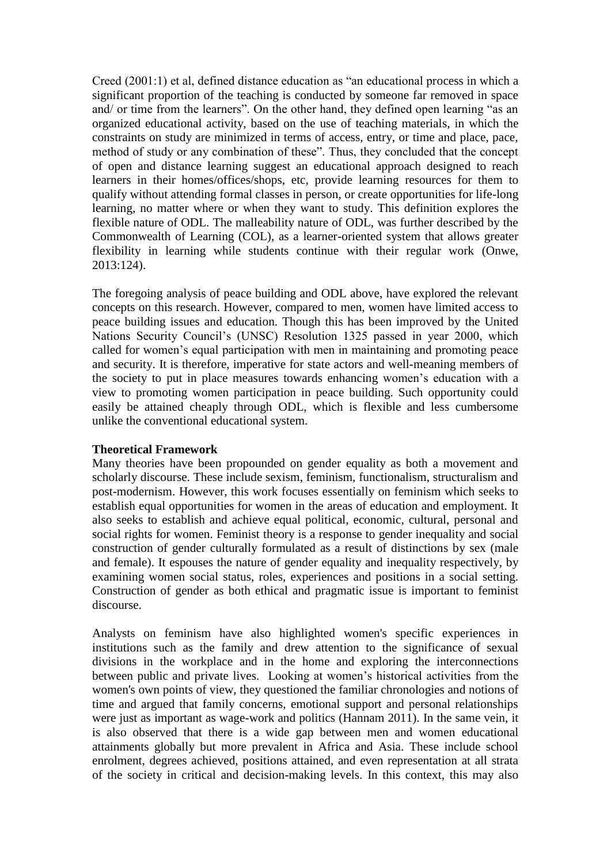Creed (2001:1) et al, defined distance education as "an educational process in which a significant proportion of the teaching is conducted by someone far removed in space and/ or time from the learners". On the other hand, they defined open learning "as an organized educational activity, based on the use of teaching materials, in which the constraints on study are minimized in terms of access, entry, or time and place, pace, method of study or any combination of these". Thus, they concluded that the concept of open and distance learning suggest an educational approach designed to reach learners in their homes/offices/shops, etc, provide learning resources for them to qualify without attending formal classes in person, or create opportunities for life-long learning, no matter where or when they want to study. This definition explores the flexible nature of ODL. The malleability nature of ODL, was further described by the Commonwealth of Learning (COL), as a learner-oriented system that allows greater flexibility in learning while students continue with their regular work (Onwe, 2013:124).

The foregoing analysis of peace building and ODL above, have explored the relevant concepts on this research. However, compared to men, women have limited access to peace building issues and education. Though this has been improved by the United Nations Security Council's (UNSC) Resolution 1325 passed in year 2000, which called for women's equal participation with men in maintaining and promoting peace and security. It is therefore, imperative for state actors and well-meaning members of the society to put in place measures towards enhancing women's education with a view to promoting women participation in peace building. Such opportunity could easily be attained cheaply through ODL, which is flexible and less cumbersome unlike the conventional educational system.

### **Theoretical Framework**

Many theories have been propounded on gender equality as both a movement and scholarly discourse. These include sexism, feminism, functionalism, structuralism and post-modernism. However, this work focuses essentially on feminism which seeks to establish equal opportunities for women in the areas of education and employment. It also seeks to establish and achieve equal political, economic, cultural, personal and social rights for women. Feminist theory is a response to gender inequality and social construction of gender culturally formulated as a result of distinctions by sex (male and female). It espouses the nature of gender equality and inequality respectively, by examining women social status, roles, experiences and positions in a social setting. Construction of gender as both ethical and pragmatic issue is important to feminist discourse.

Analysts on feminism have also highlighted women's specific experiences in institutions such as the family and drew attention to the significance of sexual divisions in the workplace and in the home and exploring the interconnections between public and private lives. Looking at women's historical activities from the women's own points of view, they questioned the familiar chronologies and notions of time and argued that family concerns, emotional support and personal relationships were just as important as wage-work and politics (Hannam 2011). In the same vein, it is also observed that there is a wide gap between men and women educational attainments globally but more prevalent in Africa and Asia. These include school enrolment, degrees achieved, positions attained, and even representation at all strata of the society in critical and decision-making levels. In this context, this may also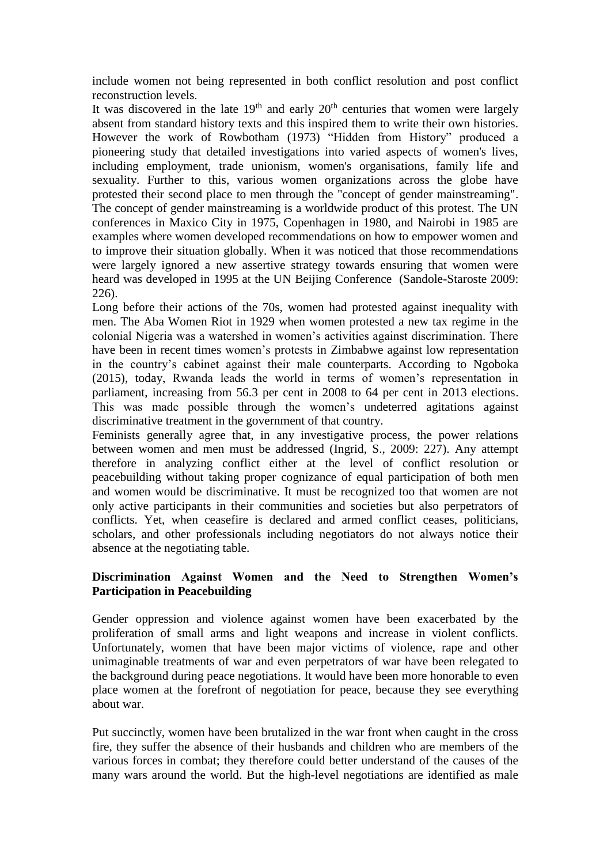include women not being represented in both conflict resolution and post conflict reconstruction levels.

It was discovered in the late  $19<sup>th</sup>$  and early  $20<sup>th</sup>$  centuries that women were largely absent from standard history texts and this inspired them to write their own histories. However the work of Rowbotham (1973) "Hidden from History" produced a pioneering study that detailed investigations into varied aspects of women's lives, including employment, trade unionism, women's organisations, family life and sexuality. Further to this, various women organizations across the globe have protested their second place to men through the "concept of gender mainstreaming". The concept of gender mainstreaming is a worldwide product of this protest. The UN conferences in Maxico City in 1975, Copenhagen in 1980, and Nairobi in 1985 are examples where women developed recommendations on how to empower women and to improve their situation globally. When it was noticed that those recommendations were largely ignored a new assertive strategy towards ensuring that women were heard was developed in 1995 at the UN Beijing Conference (Sandole-Staroste 2009: 226).

Long before their actions of the 70s, women had protested against inequality with men. The Aba Women Riot in 1929 when women protested a new tax regime in the colonial Nigeria was a watershed in women's activities against discrimination. There have been in recent times women's protests in Zimbabwe against low representation in the country's cabinet against their male counterparts. According to Ngoboka (2015), today, Rwanda leads the world in terms of women's representation in parliament, increasing from 56.3 per cent in 2008 to 64 per cent in 2013 elections. This was made possible through the women's undeterred agitations against discriminative treatment in the government of that country.

Feminists generally agree that, in any investigative process, the power relations between women and men must be addressed (Ingrid, S., 2009: 227). Any attempt therefore in analyzing conflict either at the level of conflict resolution or peacebuilding without taking proper cognizance of equal participation of both men and women would be discriminative. It must be recognized too that women are not only active participants in their communities and societies but also perpetrators of conflicts. Yet, when ceasefire is declared and armed conflict ceases, politicians, scholars, and other professionals including negotiators do not always notice their absence at the negotiating table.

# **Discrimination Against Women and the Need to Strengthen Women's Participation in Peacebuilding**

Gender oppression and violence against women have been exacerbated by the proliferation of small arms and light weapons and increase in violent conflicts. Unfortunately, women that have been major victims of violence, rape and other unimaginable treatments of war and even perpetrators of war have been relegated to the background during peace negotiations. It would have been more honorable to even place women at the forefront of negotiation for peace, because they see everything about war.

Put succinctly, women have been brutalized in the war front when caught in the cross fire, they suffer the absence of their husbands and children who are members of the various forces in combat; they therefore could better understand of the causes of the many wars around the world. But the high-level negotiations are identified as male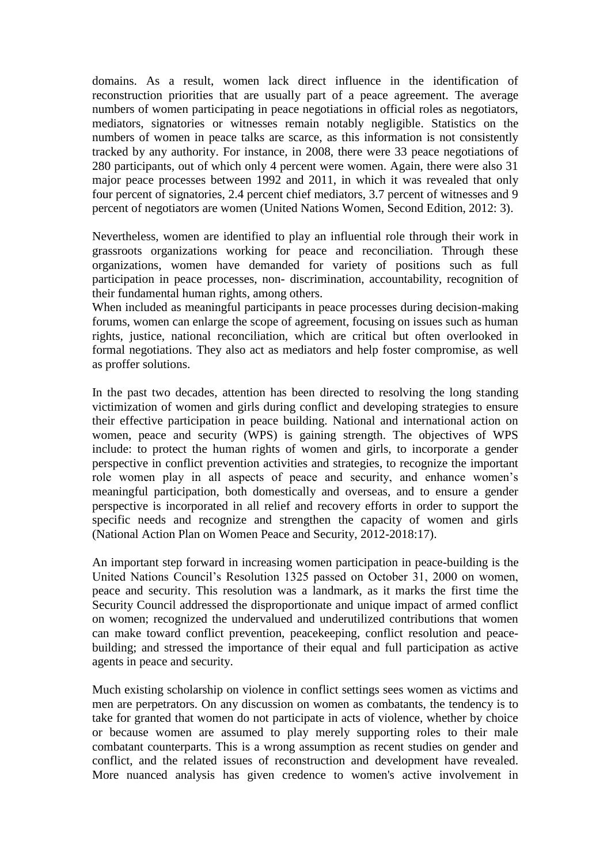domains. As a result, women lack direct influence in the identification of reconstruction priorities that are usually part of a peace agreement. The average numbers of women participating in peace negotiations in official roles as negotiators, mediators, signatories or witnesses remain notably negligible. Statistics on the numbers of women in peace talks are scarce, as this information is not consistently tracked by any authority. For instance, in 2008, there were 33 peace negotiations of 280 participants, out of which only 4 percent were women. Again, there were also 31 major peace processes between 1992 and 2011, in which it was revealed that only four percent of signatories, 2.4 percent chief mediators, 3.7 percent of witnesses and 9 percent of negotiators are women (United Nations Women, Second Edition, 2012: 3).

Nevertheless, women are identified to play an influential role through their work in grassroots organizations working for peace and reconciliation. Through these organizations, women have demanded for variety of positions such as full participation in peace processes, non- discrimination, accountability, recognition of their fundamental human rights, among others.

When included as meaningful participants in peace processes during decision-making forums, women can enlarge the scope of agreement, focusing on issues such as human rights, justice, national reconciliation, which are critical but often overlooked in formal negotiations. They also act as mediators and help foster compromise, as well as proffer solutions.

In the past two decades, attention has been directed to resolving the long standing victimization of women and girls during conflict and developing strategies to ensure their effective participation in peace building. National and international action on women, peace and security (WPS) is gaining strength. The objectives of WPS include: to protect the human rights of women and girls, to incorporate a gender perspective in conflict prevention activities and strategies, to recognize the important role women play in all aspects of peace and security, and enhance women's meaningful participation, both domestically and overseas, and to ensure a gender perspective is incorporated in all relief and recovery efforts in order to support the specific needs and recognize and strengthen the capacity of women and girls (National Action Plan on Women Peace and Security, 2012-2018:17).

An important step forward in increasing women participation in peace-building is the United Nations Council's Resolution 1325 passed on October 31, 2000 on women, peace and security. This resolution was a landmark, as it marks the first time the Security Council addressed the disproportionate and unique impact of armed conflict on women; recognized the undervalued and underutilized contributions that women can make toward conflict prevention, peacekeeping, conflict resolution and peacebuilding; and stressed the importance of their equal and full participation as active agents in peace and security.

Much existing scholarship on violence in conflict settings sees women as victims and men are perpetrators. On any discussion on women as combatants, the tendency is to take for granted that women do not participate in acts of violence, whether by choice or because women are assumed to play merely supporting roles to their male combatant counterparts. This is a wrong assumption as recent studies on gender and conflict, and the related issues of reconstruction and development have revealed. More nuanced analysis has given credence to women's active involvement in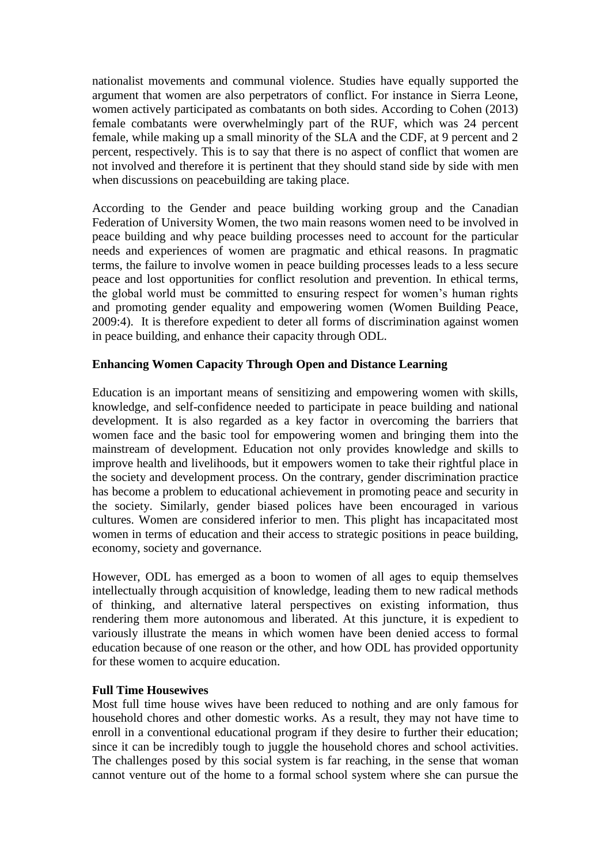nationalist movements and communal violence. Studies have equally supported the argument that women are also perpetrators of conflict. For instance in Sierra Leone, women actively participated as combatants on both sides. According to Cohen (2013) female combatants were overwhelmingly part of the RUF, which was 24 percent female, while making up a small minority of the SLA and the CDF, at 9 percent and 2 percent, respectively. This is to say that there is no aspect of conflict that women are not involved and therefore it is pertinent that they should stand side by side with men when discussions on peacebuilding are taking place.

According to the Gender and peace building working group and the Canadian Federation of University Women, the two main reasons women need to be involved in peace building and why peace building processes need to account for the particular needs and experiences of women are pragmatic and ethical reasons. In pragmatic terms, the failure to involve women in peace building processes leads to a less secure peace and lost opportunities for conflict resolution and prevention. In ethical terms, the global world must be committed to ensuring respect for women's human rights and promoting gender equality and empowering women (Women Building Peace, 2009:4). It is therefore expedient to deter all forms of discrimination against women in peace building, and enhance their capacity through ODL.

# **Enhancing Women Capacity Through Open and Distance Learning**

Education is an important means of sensitizing and empowering women with skills, knowledge, and self-confidence needed to participate in peace building and national development. It is also regarded as a key factor in overcoming the barriers that women face and the basic tool for empowering women and bringing them into the mainstream of development. Education not only provides knowledge and skills to improve health and livelihoods, but it empowers women to take their rightful place in the society and development process. On the contrary, gender discrimination practice has become a problem to educational achievement in promoting peace and security in the society. Similarly, gender biased polices have been encouraged in various cultures. Women are considered inferior to men. This plight has incapacitated most women in terms of education and their access to strategic positions in peace building, economy, society and governance.

However, ODL has emerged as a boon to women of all ages to equip themselves intellectually through acquisition of knowledge, leading them to new radical methods of thinking, and alternative lateral perspectives on existing information, thus rendering them more autonomous and liberated. At this juncture, it is expedient to variously illustrate the means in which women have been denied access to formal education because of one reason or the other, and how ODL has provided opportunity for these women to acquire education.

### **Full Time Housewives**

Most full time house wives have been reduced to nothing and are only famous for household chores and other domestic works. As a result, they may not have time to enroll in a conventional educational program if they desire to further their education; since it can be incredibly tough to juggle the household chores and school activities. The challenges posed by this social system is far reaching, in the sense that woman cannot venture out of the home to a formal school system where she can pursue the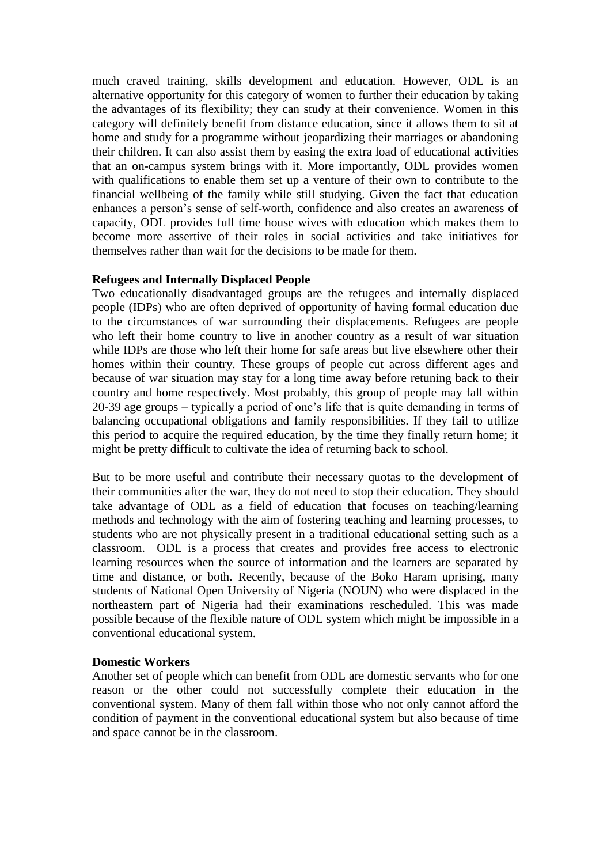much craved training, skills development and education. However, ODL is an alternative opportunity for this category of women to further their education by taking the advantages of its flexibility; they can study at their convenience. Women in this category will definitely benefit from distance education, since it allows them to sit at home and study for a programme without jeopardizing their marriages or abandoning their children. It can also assist them by easing the extra load of educational activities that an on-campus system brings with it. More importantly, ODL provides women with qualifications to enable them set up a venture of their own to contribute to the financial wellbeing of the family while still studying. Given the fact that education enhances a person's sense of self-worth, confidence and also creates an awareness of capacity, ODL provides full time house wives with education which makes them to become more assertive of their roles in social activities and take initiatives for themselves rather than wait for the decisions to be made for them.

### **Refugees and Internally Displaced People**

Two educationally disadvantaged groups are the refugees and internally displaced people (IDPs) who are often deprived of opportunity of having formal education due to the circumstances of war surrounding their displacements. Refugees are people who left their home country to live in another country as a result of war situation while IDPs are those who left their home for safe areas but live elsewhere other their homes within their country. These groups of people cut across different ages and because of war situation may stay for a long time away before retuning back to their country and home respectively. Most probably, this group of people may fall within 20-39 age groups – typically a period of one's life that is quite demanding in terms of balancing occupational obligations and family responsibilities. If they fail to utilize this period to acquire the required education, by the time they finally return home; it might be pretty difficult to cultivate the idea of returning back to school.

But to be more useful and contribute their necessary quotas to the development of their communities after the war, they do not need to stop their education. They should take advantage of ODL as a field of education that focuses on teaching/learning methods and technology with the aim of fostering teaching and learning processes, to students who are not physically present in a traditional educational setting such as a classroom. ODL is a process that creates and provides free access to electronic learning resources when the source of information and the learners are separated by time and distance, or both. Recently, because of the Boko Haram uprising, many students of National Open University of Nigeria (NOUN) who were displaced in the northeastern part of Nigeria had their examinations rescheduled. This was made possible because of the flexible nature of ODL system which might be impossible in a conventional educational system.

### **Domestic Workers**

Another set of people which can benefit from ODL are domestic servants who for one reason or the other could not successfully complete their education in the conventional system. Many of them fall within those who not only cannot afford the condition of payment in the conventional educational system but also because of time and space cannot be in the classroom.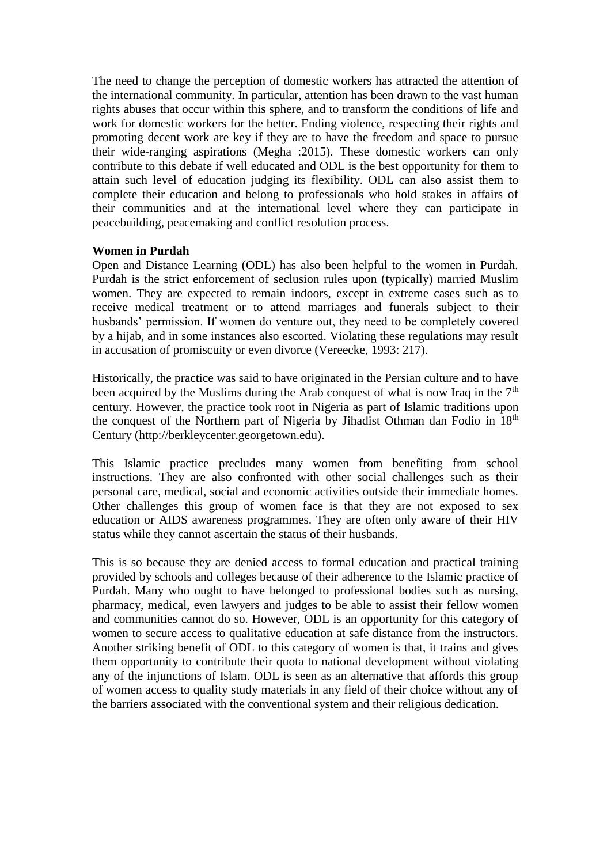The need to change the perception of domestic workers has attracted the attention of the international community. In particular, attention has been drawn to the vast human rights abuses that occur within this sphere, and to transform the conditions of life and work for domestic workers for the better. Ending violence, respecting their rights and promoting decent work are key if they are to have the freedom and space to pursue their wide-ranging aspirations (Megha :2015). These domestic workers can only contribute to this debate if well educated and ODL is the best opportunity for them to attain such level of education judging its flexibility. ODL can also assist them to complete their education and belong to professionals who hold stakes in affairs of their communities and at the international level where they can participate in peacebuilding, peacemaking and conflict resolution process.

#### **Women in Purdah**

Open and Distance Learning (ODL) has also been helpful to the women in Purdah. Purdah is the strict enforcement of seclusion rules upon (typically) married Muslim women. They are expected to remain indoors, except in extreme cases such as to receive medical treatment or to attend marriages and funerals subject to their husbands' permission. If women do venture out, they need to be completely covered by a hijab, and in some instances also escorted. Violating these regulations may result in accusation of promiscuity or even divorce (Vereecke, 1993: 217).

Historically, the practice was said to have originated in the Persian culture and to have been acquired by the Muslims during the Arab conquest of what is now Iraq in the  $7<sup>th</sup>$ century. However, the practice took root in Nigeria as part of Islamic traditions upon the conquest of the Northern part of Nigeria by Jihadist Othman dan Fodio in 18<sup>th</sup> Century [\(http://berkleycenter.georgetown.edu\)](http://berkleycenter.georgetown.edu/essays/nigeria-jihad-colonialism-and-emerging-nationalism).

This Islamic practice precludes many women from benefiting from school instructions. They are also confronted with other social challenges such as their personal care, medical, social and economic activities outside their immediate homes. Other challenges this group of women face is that they are not exposed to sex education or AIDS awareness programmes. They are often only aware of their HIV status while they cannot ascertain the status of their husbands.

This is so because they are denied access to formal education and practical training provided by schools and colleges because of their adherence to the Islamic practice of Purdah. Many who ought to have belonged to professional bodies such as nursing, pharmacy, medical, even lawyers and judges to be able to assist their fellow women and communities cannot do so. However, ODL is an opportunity for this category of women to secure access to qualitative education at safe distance from the instructors. Another striking benefit of ODL to this category of women is that, it trains and gives them opportunity to contribute their quota to national development without violating any of the injunctions of Islam. ODL is seen as an alternative that affords this group of women access to quality study materials in any field of their choice without any of the barriers associated with the conventional system and their religious dedication.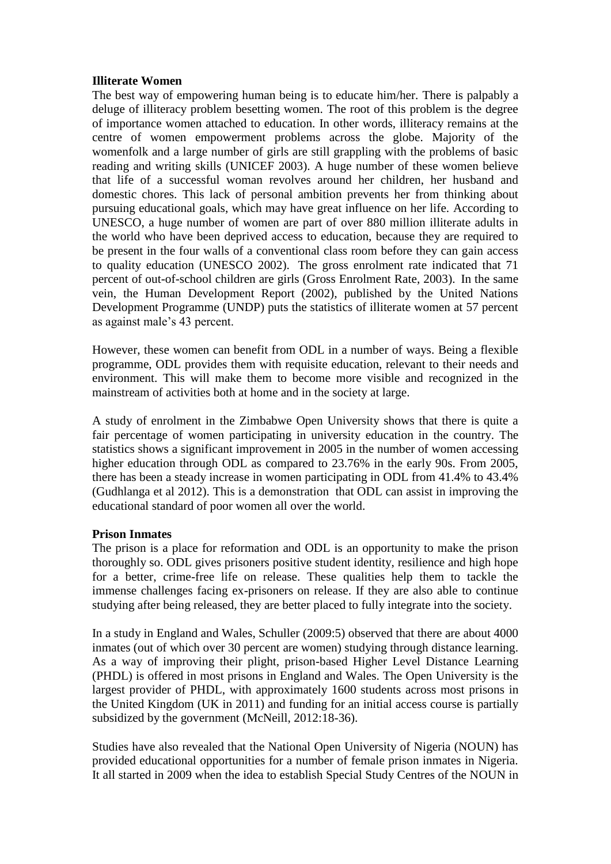### **Illiterate Women**

The best way of empowering human being is to educate him/her. There is palpably a deluge of illiteracy problem besetting women. The root of this problem is the degree of importance women attached to education. In other words, illiteracy remains at the centre of women empowerment problems across the globe. Majority of the womenfolk and a large number of girls are still grappling with the problems of basic reading and writing skills (UNICEF 2003). A huge number of these women believe that life of a successful woman revolves around her children, her husband and domestic chores. This lack of personal ambition prevents her from thinking about pursuing educational goals, which may have great influence on her life. According to UNESCO, a huge number of women are part of over 880 million illiterate adults in the world who have been deprived access to education, because they are required to be present in the four walls of a conventional class room before they can gain access to quality education (UNESCO 2002). The gross enrolment rate indicated that 71 percent of out-of-school children are girls (Gross Enrolment Rate, 2003). In the same vein, the Human Development Report (2002), published by the United Nations Development Programme (UNDP) puts the statistics of illiterate women at 57 percent as against male's 43 percent.

However, these women can benefit from ODL in a number of ways. Being a flexible programme, ODL provides them with requisite education, relevant to their needs and environment. This will make them to become more visible and recognized in the mainstream of activities both at home and in the society at large.

A study of enrolment in the Zimbabwe Open University shows that there is quite a fair percentage of women participating in university education in the country. The statistics shows a significant improvement in 2005 in the number of women accessing higher education through ODL as compared to 23.76% in the early 90s. From 2005, there has been a steady increase in women participating in ODL from 41.4% to 43.4% (Gudhlanga et al 2012). This is a demonstration that ODL can assist in improving the educational standard of poor women all over the world.

#### **Prison Inmates**

The prison is a place for reformation and ODL is an opportunity to make the prison thoroughly so. ODL gives prisoners positive student identity, resilience and high hope for a better, crime-free life on release. These qualities help them to tackle the immense challenges facing ex-prisoners on release. If they are also able to continue studying after being released, they are better placed to fully integrate into the society.

In a study in England and Wales, Schuller (2009:5) observed that there are about 4000 inmates (out of which over 30 percent are women) studying through distance learning. As a way of improving their plight, prison-based Higher Level Distance Learning (PHDL) is offered in most prisons in England and Wales. The Open University is the largest provider of PHDL, with approximately 1600 students across most prisons in the United Kingdom (UK in 2011) and funding for an initial access course is partially subsidized by the government (McNeill, 2012:18-36).

Studies have also revealed that the National Open University of Nigeria (NOUN) has provided educational opportunities for a number of female prison inmates in Nigeria. It all started in 2009 when the idea to establish Special Study Centres of the NOUN in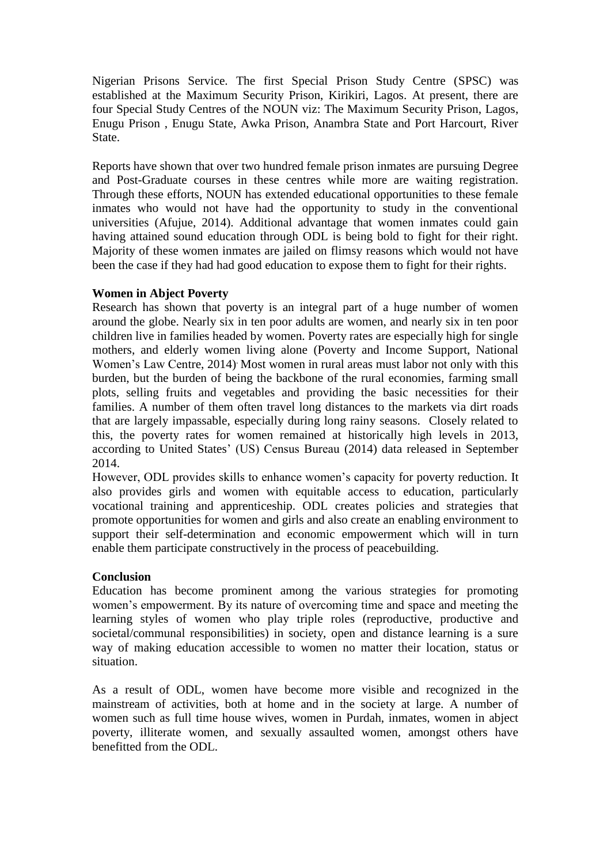Nigerian Prisons Service. The first Special Prison Study Centre (SPSC) was established at the Maximum Security Prison, Kirikiri, Lagos. At present, there are four Special Study Centres of the NOUN viz: The Maximum Security Prison, Lagos, Enugu Prison , Enugu State, Awka Prison, Anambra State and Port Harcourt, River State.

Reports have shown that over two hundred female prison inmates are pursuing Degree and Post-Graduate courses in these centres while more are waiting registration. Through these efforts, NOUN has extended educational opportunities to these female inmates who would not have had the opportunity to study in the conventional universities (Afujue, 2014). Additional advantage that women inmates could gain having attained sound education through ODL is being bold to fight for their right. Majority of these women inmates are jailed on flimsy reasons which would not have been the case if they had had good education to expose them to fight for their rights.

# **Women in Abject Poverty**

Research has shown that poverty is an integral part of a huge number of women around the globe. Nearly six in ten poor adults are women, and nearly six in ten poor children live in families headed by women. Poverty rates are especially high for single mothers, and elderly women living alone (Poverty and Income Support, National Women's Law Centre, 2014) . Most women in rural areas must labor not only with this burden, but the burden of being the backbone of the rural economies, farming small plots, selling fruits and vegetables and providing the basic necessities for their families. A number of them often travel long distances to the markets via dirt roads that are largely impassable, especially during long rainy seasons. Closely related to this, the poverty rates for women remained at historically high levels in 2013, according to United States' (US) Census Bureau (2014) data released in September 2014.

However, ODL provides skills to enhance women's capacity for poverty reduction. It also provides girls and women with equitable access to education, particularly vocational training and apprenticeship. ODL creates policies and strategies that promote opportunities for women and girls and also create an enabling environment to support their self-determination and economic empowerment which will in turn enable them participate constructively in the process of peacebuilding.

# **Conclusion**

Education has become prominent among the various strategies for promoting women's empowerment. By its nature of overcoming time and space and meeting the learning styles of women who play triple roles (reproductive, productive and societal/communal responsibilities) in society, open and distance learning is a sure way of making education accessible to women no matter their location, status or situation.

As a result of ODL, women have become more visible and recognized in the mainstream of activities, both at home and in the society at large. A number of women such as full time house wives, women in Purdah, inmates, women in abject poverty, illiterate women, and sexually assaulted women, amongst others have benefitted from the ODL.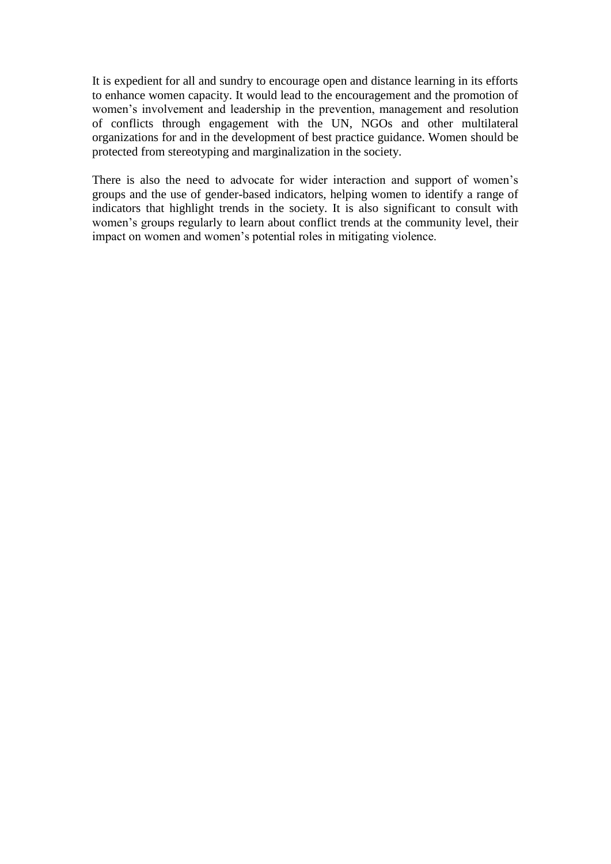It is expedient for all and sundry to encourage open and distance learning in its efforts to enhance women capacity. It would lead to the encouragement and the promotion of women's involvement and leadership in the prevention, management and resolution of conflicts through engagement with the UN, NGOs and other multilateral organizations for and in the development of best practice guidance. Women should be protected from stereotyping and marginalization in the society.

There is also the need to advocate for wider interaction and support of women's groups and the use of gender-based indicators, helping women to identify a range of indicators that highlight trends in the society. It is also significant to consult with women's groups regularly to learn about conflict trends at the community level, their impact on women and women's potential roles in mitigating violence.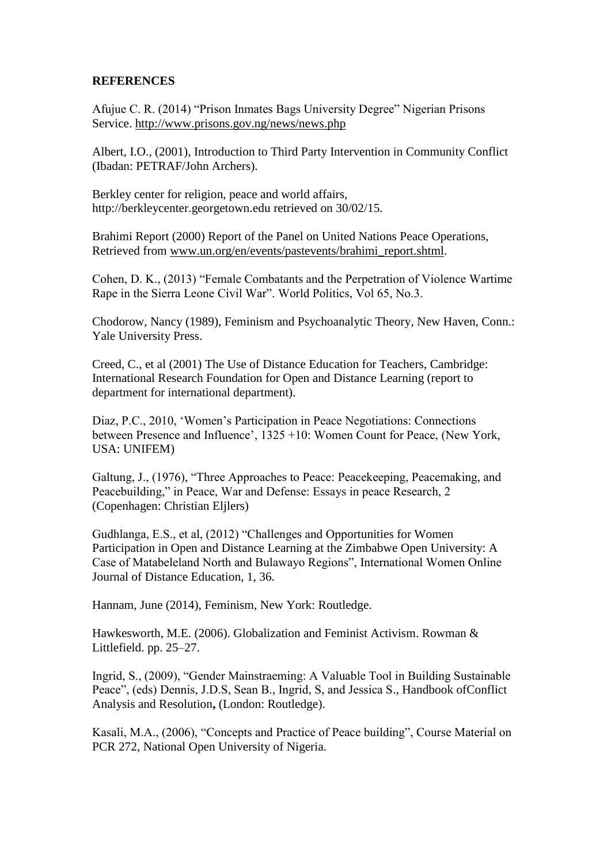## **REFERENCES**

Afujue C. R. (2014) "Prison Inmates Bags University Degree" Nigerian Prisons Service.<http://www.prisons.gov.ng/news/news.php>

Albert, I.O., (2001), Introduction to Third Party Intervention in Community Conflict (Ibadan: PETRAF/John Archers).

Berkley center for religion, peace and world affairs, [http://berkleycenter.georgetown.edu](http://berkleycenter.georgetown.edu/essays/nigeria-jihad-colonialism-and-emerging-nationalism) retrieved on 30/02/15.

Brahimi Report (2000) Report of the Panel on United Nations Peace Operations, Retrieved from [www.un.org/en/events/pastevents/brahimi\\_report.shtml.](http://www.un.org/en/events/pastevents/brahimi_report.shtml)

Cohen, D. K., (2013) "Female Combatants and the Perpetration of Violence Wartime Rape in the Sierra Leone Civil War". World Politics, Vol 65, No.3.

Chodorow, Nancy (1989), Feminism and Psychoanalytic Theory, New Haven, Conn.: Yale University Press.

Creed, C., et al (2001) The Use of Distance Education for Teachers, Cambridge: International Research Foundation for Open and Distance Learning (report to department for international department).

Diaz, P.C., 2010, 'Women's Participation in Peace Negotiations: Connections between Presence and Influence', 1325 +10: Women Count for Peace, (New York, USA: UNIFEM)

Galtung, J., (1976), "Three Approaches to Peace: Peacekeeping, Peacemaking, and Peacebuilding," in Peace, War and Defense: Essays in peace Research, 2 (Copenhagen: Christian Eljlers)

Gudhlanga, E.S., et al, (2012) "Challenges and Opportunities for Women Participation in Open and Distance Learning at the Zimbabwe Open University: A Case of Matabeleland North and Bulawayo Regions", International Women Online Journal of Distance Education, 1, 36.

Hannam, June (2014), Feminism, New York: Routledge.

Hawkesworth, M.E. (2006). Globalization and Feminist Activism. Rowman & Littlefield. pp. 25–27.

Ingrid, S., (2009), "Gender Mainstraeming: A Valuable Tool in Building Sustainable Peace", (eds) Dennis, J.D.S, Sean B., Ingrid, S, and Jessica S., Handbook ofConflict Analysis and Resolution**,** (London: Routledge).

Kasali, M.A., (2006), "Concepts and Practice of Peace building", Course Material on PCR 272, National Open University of Nigeria.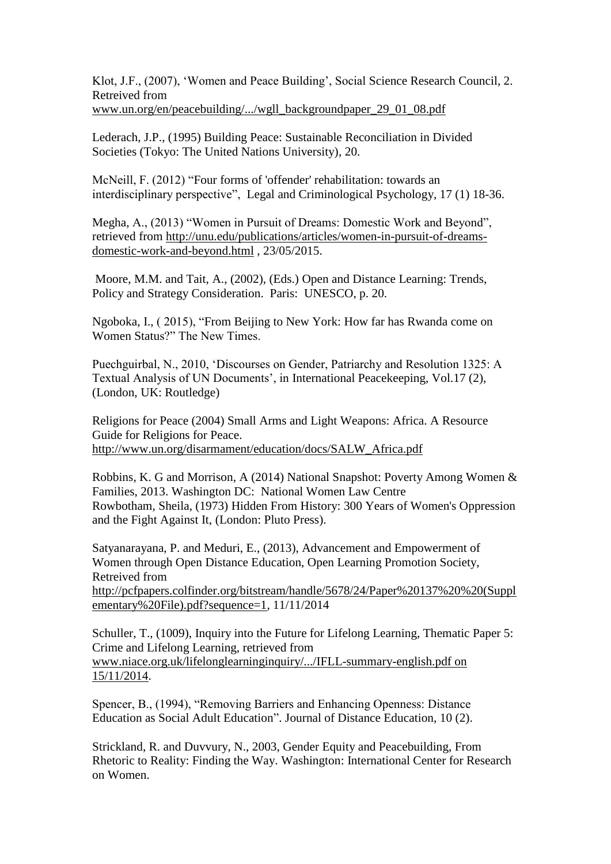Klot, J.F., (2007), 'Women and Peace Building', Social Science Research Council, 2. Retreived from [www.un.org/en/peacebuilding/.../wgll\\_backgroundpaper\\_29\\_01\\_08.pdf](http://www.un.org/en/peacebuilding/.../wgll_backgroundpaper_29_01_08.pdf)

Lederach, J.P., (1995) Building Peace: Sustainable Reconciliation in Divided Societies (Tokyo: The United Nations University), 20.

McNeill, F. (2012) "Four forms of 'offender' rehabilitation: towards an interdisciplinary perspective", Legal and Criminological Psychology, 17 (1) 18-36.

Megha, A., (2013) "Women in Pursuit of Dreams: Domestic Work and Beyond", retrieved from [http://unu.edu/publications/articles/women-in-pursuit-of-dreams](http://unu.edu/publications/articles/women-in-pursuit-of-dreams-domestic-work-and-beyond.html)[domestic-work-and-beyond.html](http://unu.edu/publications/articles/women-in-pursuit-of-dreams-domestic-work-and-beyond.html) , 23/05/2015.

Moore, M.M. and Tait, A., (2002), (Eds.) Open and Distance Learning: Trends, Policy and Strategy Consideration. Paris: UNESCO, p. 20.

Ngoboka, I., ( 2015), "From Beijing to New York: How far has Rwanda come on Women Status?" The New Times.

Puechguirbal, N., 2010, 'Discourses on Gender, Patriarchy and Resolution 1325: A Textual Analysis of UN Documents', in International Peacekeeping, Vol.17 (2), (London, UK: Routledge)

Religions for Peace (2004) Small Arms and Light Weapons: Africa. A Resource Guide for Religions for Peace. [http://www.un.org/disarmament/education/docs/SALW\\_Africa.pdf](http://www.un.org/disarmament/education/docs/SALW_Africa.pdf)

Robbins, K. G and Morrison, A (2014) National Snapshot: Poverty Among Women & Families, 2013. Washington DC: National Women Law Centre Rowbotham, Sheila, (1973) Hidden From History: 300 Years of Women's Oppression and the Fight Against It, (London: Pluto Press).

Satyanarayana, P. and Meduri, E., (2013), Advancement and Empowerment of Women through Open Distance Education, Open Learning Promotion Society, Retreived from [http://pcfpapers.colfinder.org/bitstream/handle/5678/24/Paper%20137%20%20\(Suppl](http://pcfpapers.colfinder.org/bitstream/handle/5678/24/Paper%20137%20%20(Supplementary%20File).pdf?sequence=1) [ementary%20File\).pdf?sequence=1,](http://pcfpapers.colfinder.org/bitstream/handle/5678/24/Paper%20137%20%20(Supplementary%20File).pdf?sequence=1) 11/11/2014

Schuller, T., (1009), Inquiry into the Future for Lifelong Learning, Thematic Paper 5: Crime and Lifelong Learning, retrieved from [www.niace.org.uk/lifelonglearninginquiry/.../IFLL-summary-english.pdf on](http://www.niace.org.uk/lifelonglearninginquiry/.../IFLL-summary-english.pdf%20on%2015/11/2014)  [15/11/2014.](http://www.niace.org.uk/lifelonglearninginquiry/.../IFLL-summary-english.pdf%20on%2015/11/2014)

Spencer, B., (1994), "Removing Barriers and Enhancing Openness: Distance Education as Social Adult Education". Journal of Distance Education, 10 (2).

Strickland, R. and Duvvury, N., 2003, Gender Equity and Peacebuilding, From Rhetoric to Reality: Finding the Way. Washington: International Center for Research on Women.